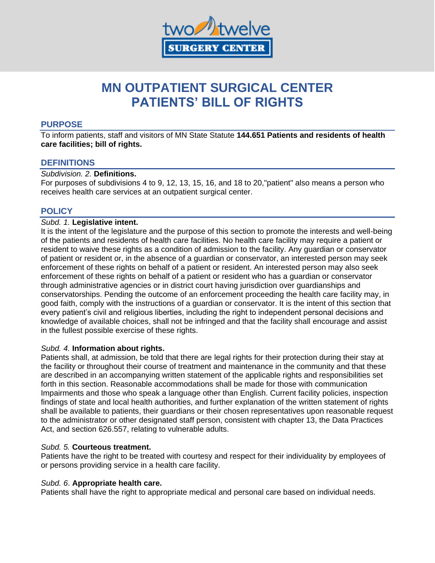

# **MN OUTPATIENT SURGICAL CENTER PATIENTS' BILL OF RIGHTS**

# **PURPOSE**

To inform patients, staff and visitors of MN State Statute **144.651 Patients and residents of health care facilities; bill of rights.**

# **DEFINITIONS**

## *Subdivision. 2.* **Definitions.**

For purposes of subdivisions 4 to 9, 12, 13, 15, 16, and 18 to 20,"patient" also means a person who receives health care services at an outpatient surgical center.

# **POLICY**

## *Subd. 1.* **Legislative intent.**

It is the intent of the legislature and the purpose of this section to promote the interests and well-being of the patients and residents of health care facilities. No health care facility may require a patient or resident to waive these rights as a condition of admission to the facility. Any guardian or conservator of patient or resident or, in the absence of a guardian or conservator, an interested person may seek enforcement of these rights on behalf of a patient or resident. An interested person may also seek enforcement of these rights on behalf of a patient or resident who has a guardian or conservator through administrative agencies or in district court having jurisdiction over guardianships and conservatorships. Pending the outcome of an enforcement proceeding the health care facility may, in good faith, comply with the instructions of a guardian or conservator. It is the intent of this section that every patient's civil and religious liberties, including the right to independent personal decisions and knowledge of available choices, shall not be infringed and that the facility shall encourage and assist in the fullest possible exercise of these rights.

# *Subd. 4.* **Information about rights.**

Patients shall, at admission, be told that there are legal rights for their protection during their stay at the facility or throughout their course of treatment and maintenance in the community and that these are described in an accompanying written statement of the applicable rights and responsibilities set forth in this section. Reasonable accommodations shall be made for those with communication Impairments and those who speak a language other than English. Current facility policies, inspection findings of state and local health authorities, and further explanation of the written statement of rights shall be available to patients, their guardians or their chosen representatives upon reasonable request to the administrator or other designated staff person, consistent with chapter 13, the Data Practices Act, and section 626.557, relating to vulnerable adults.

#### *Subd. 5.* **Courteous treatment.**

Patients have the right to be treated with courtesy and respect for their individuality by employees of or persons providing service in a health care facility.

#### *Subd. 6*. **Appropriate health care.**

Patients shall have the right to appropriate medical and personal care based on individual needs.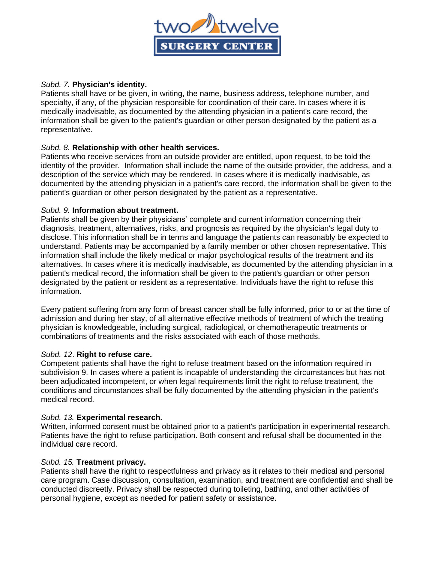

## *Subd. 7.* **Physician's identity.**

Patients shall have or be given, in writing, the name, business address, telephone number, and specialty, if any, of the physician responsible for coordination of their care. In cases where it is medically inadvisable, as documented by the attending physician in a patient's care record, the information shall be given to the patient's guardian or other person designated by the patient as a representative.

# *Subd. 8.* **Relationship with other health services.**

Patients who receive services from an outside provider are entitled, upon request, to be told the identity of the provider. Information shall include the name of the outside provider, the address, and a description of the service which may be rendered. In cases where it is medically inadvisable, as documented by the attending physician in a patient's care record, the information shall be given to the patient's guardian or other person designated by the patient as a representative.

## *Subd. 9.* **Information about treatment.**

Patients shall be given by their physicians' complete and current information concerning their diagnosis, treatment, alternatives, risks, and prognosis as required by the physician's legal duty to disclose. This information shall be in terms and language the patients can reasonably be expected to understand. Patients may be accompanied by a family member or other chosen representative. This information shall include the likely medical or major psychological results of the treatment and its alternatives. In cases where it is medically inadvisable, as documented by the attending physician in a patient's medical record, the information shall be given to the patient's guardian or other person designated by the patient or resident as a representative. Individuals have the right to refuse this information.

Every patient suffering from any form of breast cancer shall be fully informed, prior to or at the time of admission and during her stay, of all alternative effective methods of treatment of which the treating physician is knowledgeable, including surgical, radiological, or chemotherapeutic treatments or combinations of treatments and the risks associated with each of those methods.

#### *Subd. 12*. **Right to refuse care.**

Competent patients shall have the right to refuse treatment based on the information required in subdivision 9. In cases where a patient is incapable of understanding the circumstances but has not been adjudicated incompetent, or when legal requirements limit the right to refuse treatment, the conditions and circumstances shall be fully documented by the attending physician in the patient's medical record.

#### *Subd. 13.* **Experimental research.**

Written, informed consent must be obtained prior to a patient's participation in experimental research. Patients have the right to refuse participation. Both consent and refusal shall be documented in the individual care record.

#### *Subd. 15.* **Treatment privacy.**

Patients shall have the right to respectfulness and privacy as it relates to their medical and personal care program. Case discussion, consultation, examination, and treatment are confidential and shall be conducted discreetly. Privacy shall be respected during toileting, bathing, and other activities of personal hygiene, except as needed for patient safety or assistance.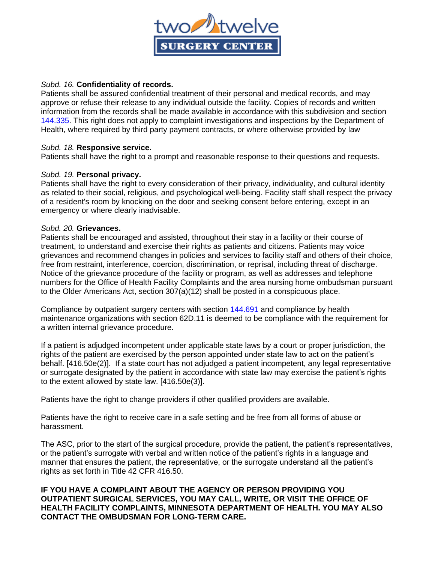

## *Subd. 16.* **Confidentiality of records.**

Patients shall be assured confidential treatment of their personal and medical records, and may approve or refuse their release to any individual outside the facility. Copies of records and written information from the records shall be made available in accordance with this subdivision and section 144.335. This right does not apply to complaint investigations and inspections by the Department of Health, where required by third party payment contracts, or where otherwise provided by law

## *Subd. 18.* **Responsive service.**

Patients shall have the right to a prompt and reasonable response to their questions and requests.

# *Subd. 19.* **Personal privacy.**

Patients shall have the right to every consideration of their privacy, individuality, and cultural identity as related to their social, religious, and psychological well-being. Facility staff shall respect the privacy of a resident's room by knocking on the door and seeking consent before entering, except in an emergency or where clearly inadvisable.

#### *Subd. 20.* **Grievances.**

Patients shall be encouraged and assisted, throughout their stay in a facility or their course of treatment, to understand and exercise their rights as patients and citizens. Patients may voice grievances and recommend changes in policies and services to facility staff and others of their choice, free from restraint, interference, coercion, discrimination, or reprisal, including threat of discharge. Notice of the grievance procedure of the facility or program, as well as addresses and telephone numbers for the Office of Health Facility Complaints and the area nursing home ombudsman pursuant to the Older Americans Act, section 307(a)(12) shall be posted in a conspicuous place.

Compliance by outpatient surgery centers with section 144.691 and compliance by health maintenance organizations with section 62D.11 is deemed to be compliance with the requirement for a written internal grievance procedure.

If a patient is adjudged incompetent under applicable state laws by a court or proper jurisdiction, the rights of the patient are exercised by the person appointed under state law to act on the patient's behalf. [416.50e(2)]. If a state court has not adjudged a patient incompetent, any legal representative or surrogate designated by the patient in accordance with state law may exercise the patient's rights to the extent allowed by state law. [416.50e(3)].

Patients have the right to change providers if other qualified providers are available.

Patients have the right to receive care in a safe setting and be free from all forms of abuse or harassment.

The ASC, prior to the start of the surgical procedure, provide the patient, the patient's representatives, or the patient's surrogate with verbal and written notice of the patient's rights in a language and manner that ensures the patient, the representative, or the surrogate understand all the patient's rights as set forth in Title 42 CFR 416.50.

# **IF YOU HAVE A COMPLAINT ABOUT THE AGENCY OR PERSON PROVIDING YOU OUTPATIENT SURGICAL SERVICES, YOU MAY CALL, WRITE, OR VISIT THE OFFICE OF HEALTH FACILITY COMPLAINTS, MINNESOTA DEPARTMENT OF HEALTH. YOU MAY ALSO CONTACT THE OMBUDSMAN FOR LONG-TERM CARE.**